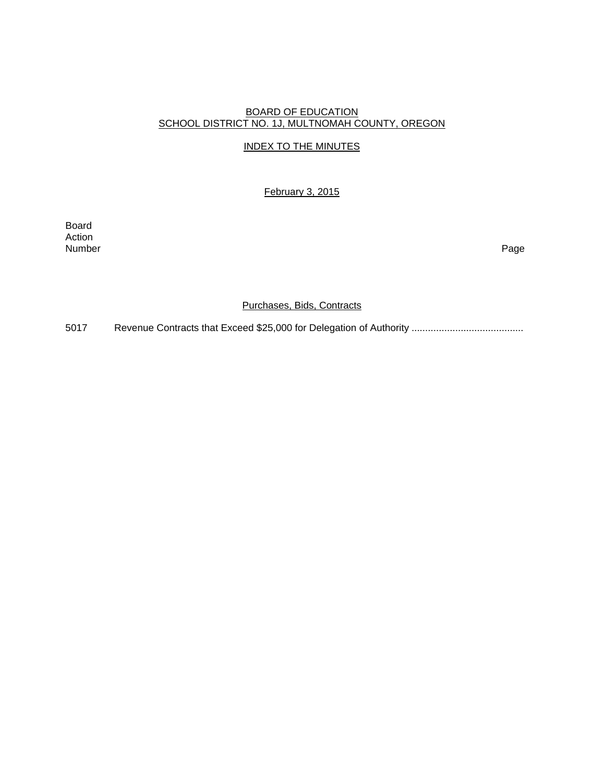# BOARD OF EDUCATION SCHOOL DISTRICT NO. 1J, MULTNOMAH COUNTY, OREGON

# INDEX TO THE MINUTES

February 3, 2015

Board Action<br>Number Number Page

Purchases, Bids, Contracts

5017 Revenue Contracts that Exceed \$25,000 for Delegation of Authority .........................................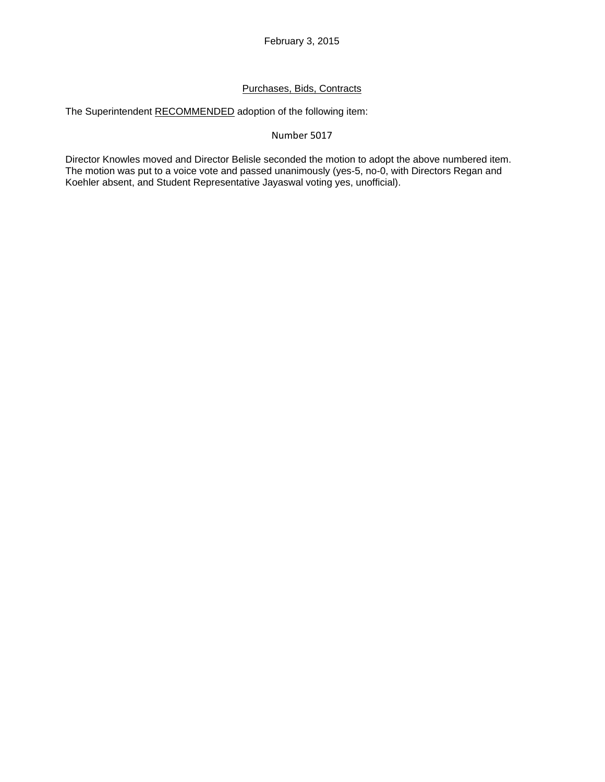# Purchases, Bids, Contracts

The Superintendent RECOMMENDED adoption of the following item:

### Number 5017

Director Knowles moved and Director Belisle seconded the motion to adopt the above numbered item. The motion was put to a voice vote and passed unanimously (yes-5, no-0, with Directors Regan and Koehler absent, and Student Representative Jayaswal voting yes, unofficial).